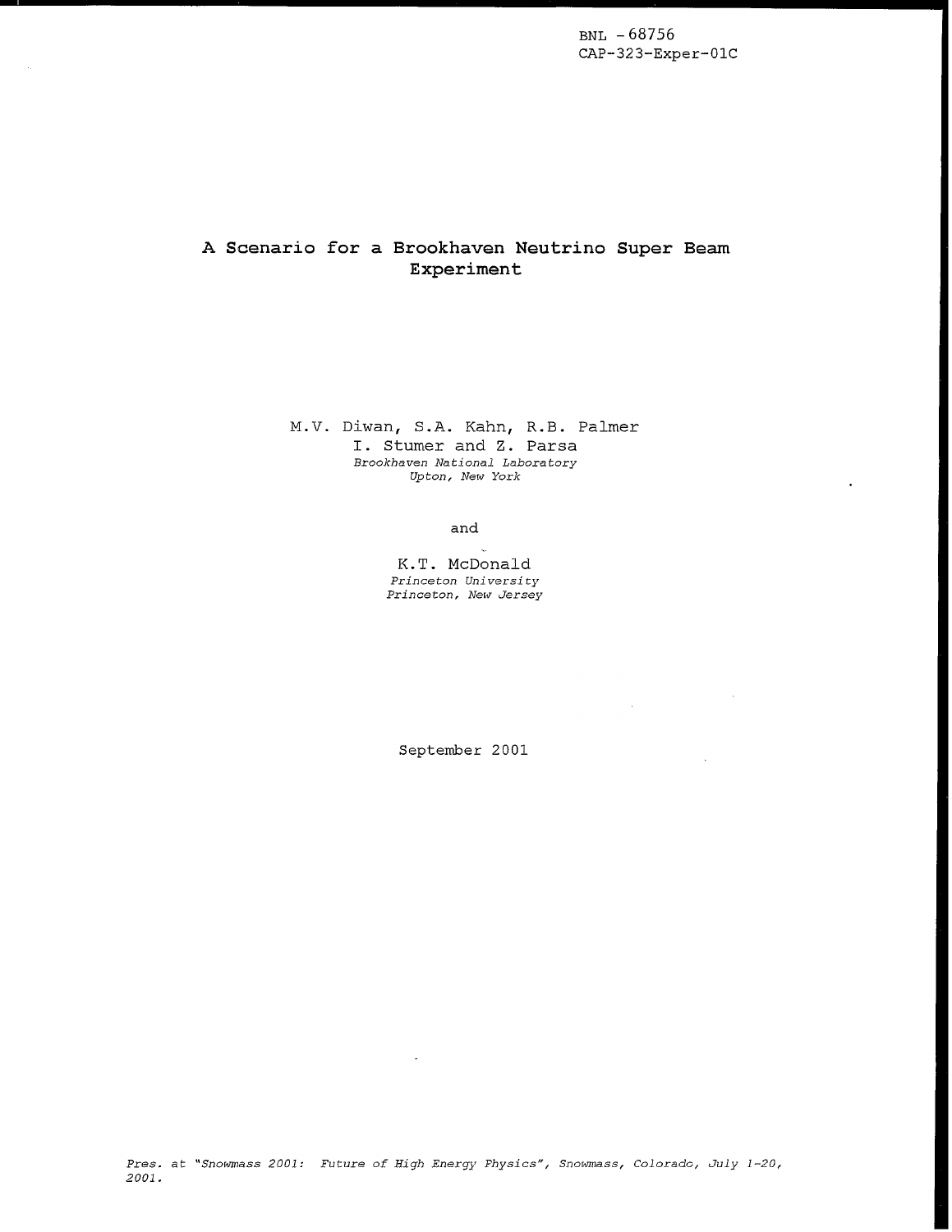from a list of available tasks and input variables for

files in the sequencer language described above.  $A$ lternatively, it can issue community to the Sequencer community to the Sequence

# A Scenario for a Brookhaven Neutrino Super Beam

saving of data from various systems. The Sequencer  $s_{\text{max}}$  is so the international programs, support programs, support programs,  $\tau$  $\frac{a}{b}$  and the language used to drive it are discussed in the discussed in the discussed in the discussed in the discussed in the discussed in the discussed in the discussed in the discussed in the discussed in the dis flexibility to the system and has led to a modular modular modular modular modular modular modular modular modular modular modular modular modular modular modular modular modular modular modular modular modular modular mo and,  $k.5.$  Palmer I. Stumer and Z. Parsa sequences are ASCII files and the ASCII files and the ASCII files and the ASCII files and the ASCII files and <br>The ASCII files and the ASCII files and the ASCII files and the ASCII files and the ASCII files and the ASCII

not a new idea. Ferrilab has built and used and used and used and used and used and used and used and used and  $s_{\rm c}$  sequencer for years  $r_{\rm c}$  and  $r_{\rm c}$  and  $r_{\rm c}$  in  $r_{\rm c}$  and  $r_{\rm c}$ K.T. McDonald Princeton University Princeton, New Jersey

 $\overline{a}$  $i \sim r$ September 2001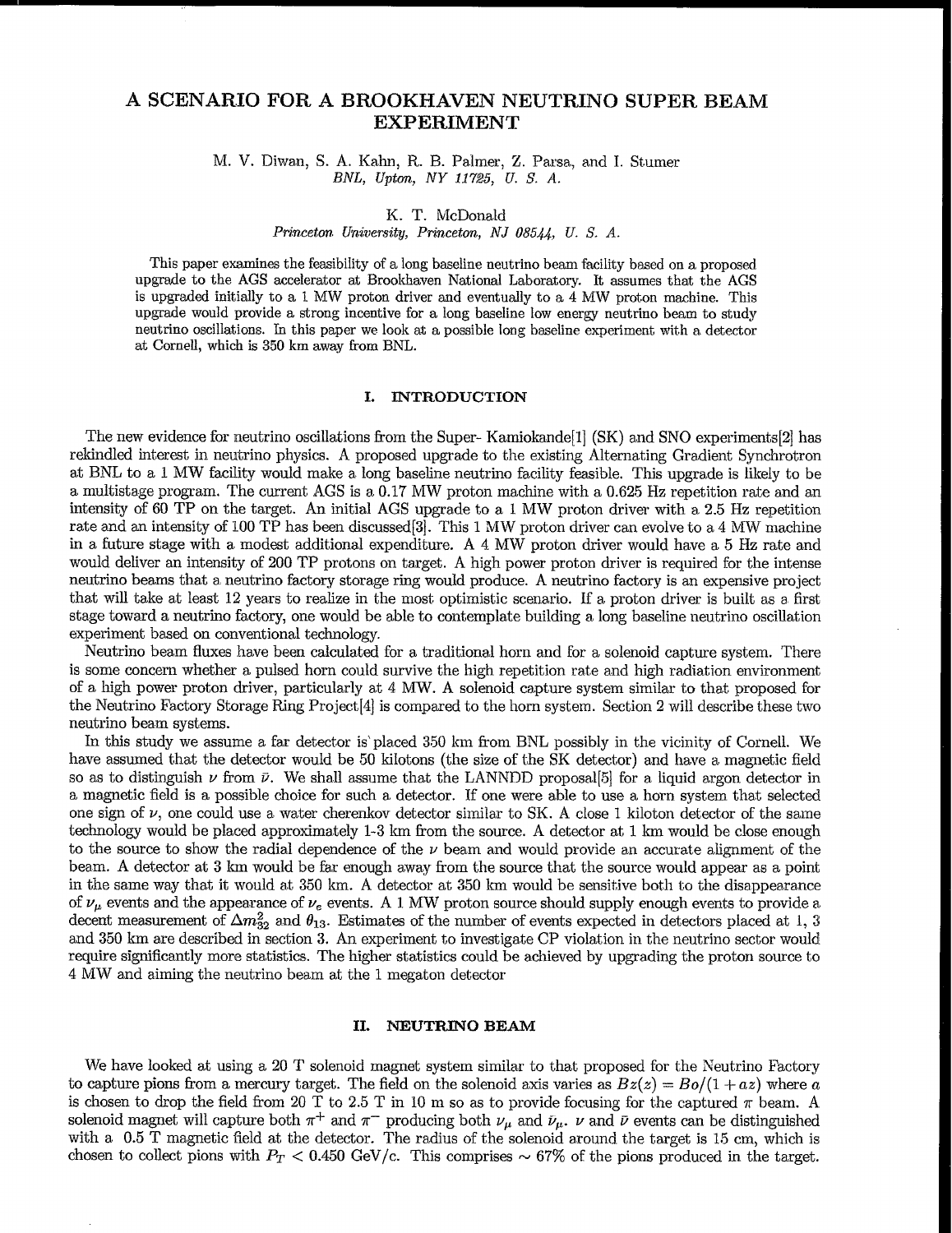## A SCENARIO FOR A BROOKHAVEN NEUTRINO SUPER BEAM **EXPERIMENT**

M. V. Diwan, S. A. Kahn, R. B. Palmer, Z. Parsa, and I. Stumer BNL, Upton, NY 11725, U.S. A.

K. T. McDonald

Princeton University, Princeton, NJ 08544, U.S. A.

This paper examines the feasibility of a long baseline neutrino beam facility based on a proposed upgrade to the AGS accelerator at Brookhaven National Laboratory. It assumes that the AGS is upgraded initially to a 1 MW proton driver and eventually to a 4 MW proton machine. This upgrade would provide a strong incentive for a long baseline low energy neutrino beam to study neutrino oscillations. In this paper we look at a possible long baseline experiment with a detector at Cornell, which is 350 km away from BNL.

#### **INTRODUCTION** L.

The new evidence for neutrino oscillations from the Super-Kamiokande<sup>[1]</sup> (SK) and SNO experiments<sup>[2]</sup> has rekindled interest in neutrino physics. A proposed upgrade to the existing Alternating Gradient Synchrotron at BNL to a 1 MW facility would make a long baseline neutrino facility feasible. This upgrade is likely to be a multistage program. The current AGS is a 0.17 MW proton machine with a 0.625 Hz repetition rate and an intensity of 60 TP on the target. An initial AGS upgrade to a 1 MW proton driver with a 2.5 Hz repetition rate and an intensity of 100 TP has been discussed[3]. This 1 MW proton driver can evolve to a 4 MW machine in a future stage with a modest additional expenditure. A 4 MW proton driver would have a 5 Hz rate and would deliver an intensity of 200 TP protons on target. A high power proton driver is required for the intense neutrino beams that a neutrino factory storage ring would produce. A neutrino factory is an expensive project that will take at least 12 years to realize in the most optimistic scenario. If a proton driver is built as a first stage toward a neutrino factory, one would be able to contemplate building a long baseline neutrino oscillation experiment based on conventional technology.

Neutrino beam fluxes have been calculated for a traditional horn and for a solenoid capture system. There is some concern whether a pulsed horn could survive the high repetition rate and high radiation environment of a high power proton driver, particularly at 4 MW. A solenoid capture system similar to that proposed for the Neutrino Factory Storage Ring Project [4] is compared to the horn system. Section 2 will describe these two neutrino beam systems.

In this study we assume a far detector is placed 350 km from BNL possibly in the vicinity of Cornell. We have assumed that the detector would be 50 kilotons (the size of the SK detector) and have a magnetic field so as to distinguish  $\nu$  from  $\bar{\nu}$ . We shall assume that the LANNDD proposal [5] for a liquid argon detector in a magnetic field is a possible choice for such a detector. If one were able to use a horn system that selected one sign of  $\nu$ , one could use a water cherenkov detector similar to SK. A close 1 kiloton detector of the same technology would be placed approximately 1-3 km from the source. A detector at 1 km would be close enough to the source to show the radial dependence of the  $\nu$  beam and would provide an accurate alignment of the beam. A detector at 3 km would be far enough away from the source that the source would appear as a point in the same way that it would at 350 km. A detector at 350 km would be sensitive both to the disappearance of  $\nu_{\mu}$  events and the appearance of  $\nu_e$  events. A 1 MW proton source should supply enough events to provide a decent measurement of  $\Delta m_{32}^2$  and  $\theta_{13}$ . Estimates of the number of events expected in detectors placed at 1, 3 and 350 km are described in section 3. An experiment to investigate CP violation in the neutrino sector would require significantly more statistics. The higher statistics could be achieved by upgrading the proton source to 4 MW and aiming the neutrino beam at the 1 megaton detector

#### II. NEUTRINO BEAM

We have looked at using a 20 T solenoid magnet system similar to that proposed for the Neutrino Factory to capture pions from a mercury target. The field on the solenoid axis varies as  $Bz(z) = Bo/(1 + az)$  where a is chosen to drop the field from 20 T to 2.5 T in 10 m so as to provide focusing for the captured  $\pi$  beam. A solenoid magnet will capture both  $\pi^+$  and  $\pi^-$  producing both  $\nu_\mu$  and  $\bar{\nu}_\mu$ .  $\nu$  and  $\bar{\nu}$  events can be distinguished with a 0.5 T magnetic field at the detector. The radius of the solenoid around the target is 15 cm, which is chosen to collect pions with  $P_T < 0.450$  GeV/c. This comprises  $\sim 67\%$  of the pions produced in the target.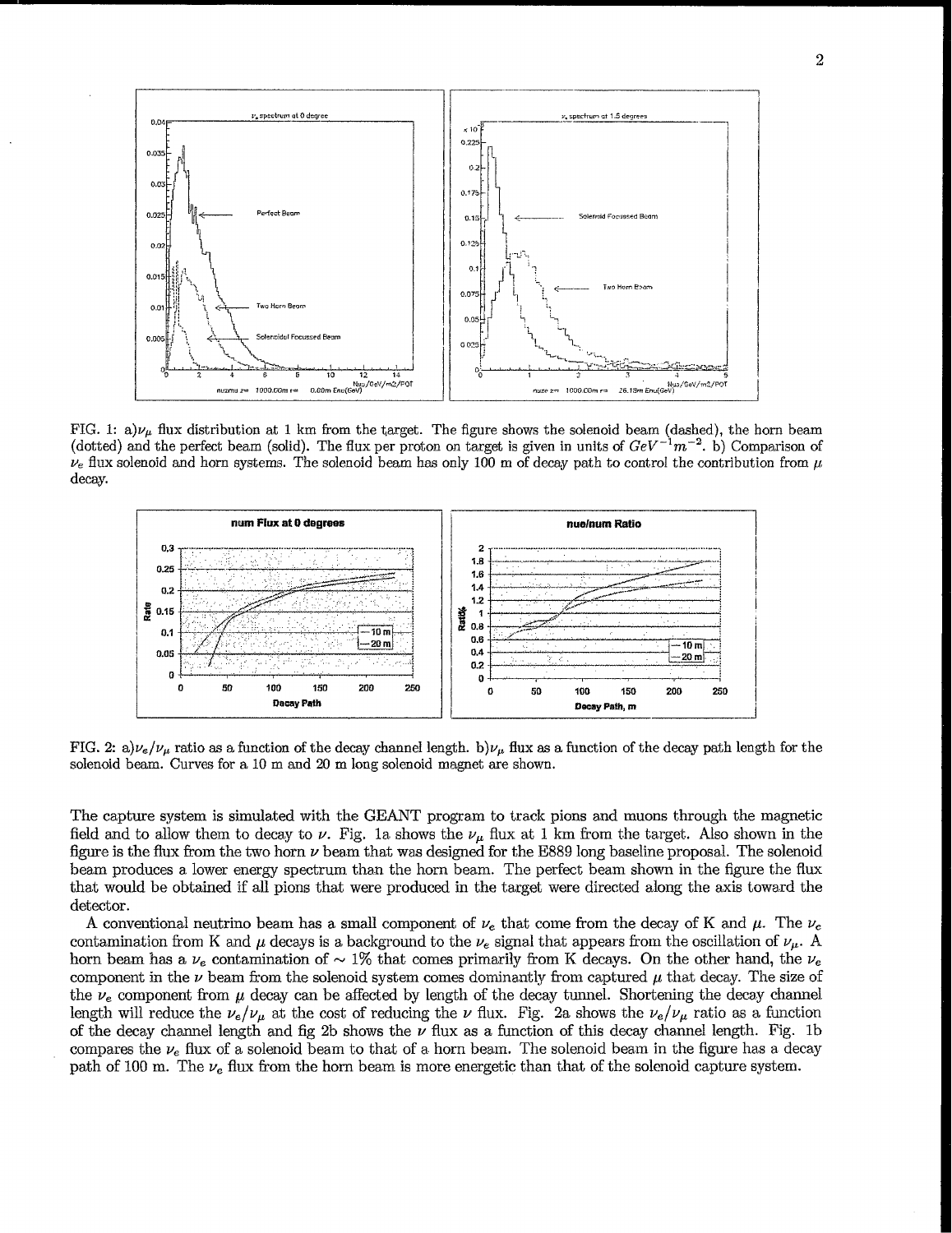

FIG. 1: a) $\nu_{\mu}$  flux distribution at 1 km from the target. The figure shows the solenoid beam (dashed), the horn beam (dotted) and the perfect beam (solid). The flux per proton on target is given in units of  $GeV^{-1}m^{-2}$ . b) Comparison of  $\nu_e$  flux solenoid and horn systems. The solenoid beam has only 100 m of decay path to control the contribution from  $\mu$ decay.



FIG. 2: a) $\nu_e/\nu_\mu$  ratio as a function of the decay channel length. b) $\nu_\mu$  flux as a function of the decay path length for the solenoid beam. Curves for a 10 m and 20 m long solenoid magnet are shown.

The capture system is simulated with the GEANT program to track pions and muons through the magnetic field and to allow them to decay to  $\nu$ . Fig. 1a shows the  $\nu_{\mu}$  flux at 1 km from the target. Also shown in the figure is the flux from the two horn  $\nu$  beam that was designed for the E889 long baseline proposal. The solenoid beam produces a lower energy spectrum than the horn beam. The perfect beam shown in the figure the flux that would be obtained if all pions that were produced in the target were directed along the axis toward the detector.

A conventional neutrino beam has a small component of  $\nu_e$  that come from the decay of K and  $\mu$ . The  $\nu_e$ contamination from K and  $\mu$  decays is a background to the  $\nu_e$  signal that appears from the oscillation of  $\nu_\mu$ . A horn beam has a  $\nu_e$  contamination of  $\sim 1\%$  that comes primarily from K decays. On the other hand, the  $\nu_e$ component in the  $\nu$  beam from the solenoid system comes dominantly from captured  $\mu$  that decay. The size of the  $\nu_e$  component from  $\mu$  decay can be affected by length of the decay tunnel. Shortening the decay channel length will reduce the  $\nu_e/\nu_\mu$  at the cost of reducing the  $\nu$  flux. Fig. 2a shows the  $\nu_e/\nu_\mu$  ratio as a function of the decay channel length and fig 2b shows the  $\nu$  flux as a function of this decay channel length. Fig. 1b compares the  $\nu_e$  flux of a solenoid beam to that of a horn beam. The solenoid beam in the figure has a decay path of 100 m. The  $\nu_e$  flux from the horn beam is more energetic than that of the solenoid capture system.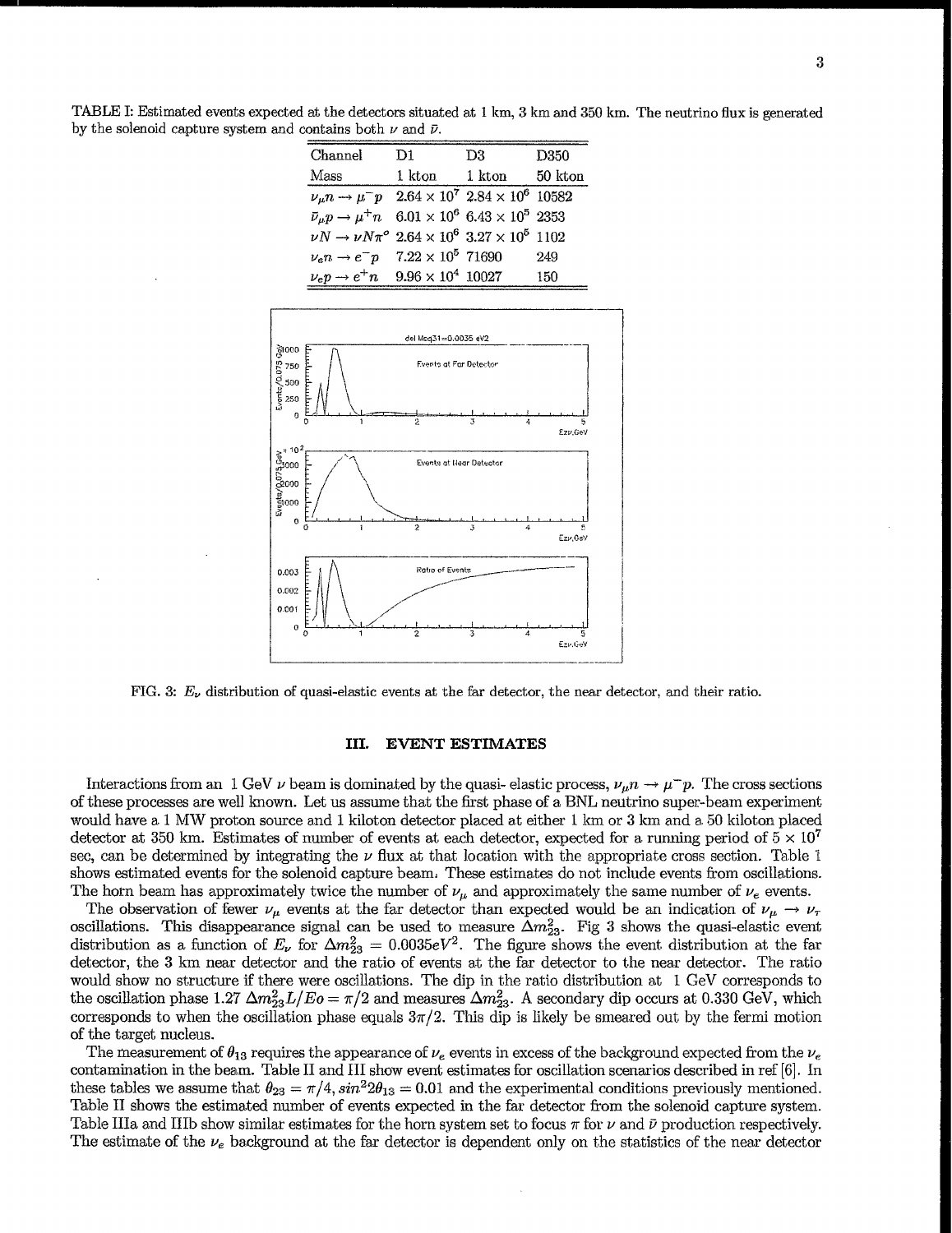TABLE I: Estimated events expected at the detectors situated at 1 km, 3 km and 350 km. The neutrino flux is generated by the solenoid capture system and contains both  $\nu$  and  $\bar{\nu}$ .

| Channel                                                                                              | D1.    | D3     | D350    |
|------------------------------------------------------------------------------------------------------|--------|--------|---------|
| Mass                                                                                                 | 1 kton | 1 kton | 50 kton |
| $\nu_{\mu}n \rightarrow \mu^-p$ 2.64 $\times$ 10 <sup>7</sup> 2.84 $\times$ 10 <sup>6</sup> 10582    |        |        |         |
| $\bar{\nu}_{\mu}p \rightarrow \mu^{+}n \quad 6.01 \times 10^{6} \quad 6.43 \times 10^{5} \quad 2353$ |        |        |         |
| $\nu N \to \nu N \pi^{\circ} 2.64 \times 10^{6} 3.27 \times 10^{5} 1102$                             |        |        |         |
| $\nu_e n \to e^- p$ 7.22 × 10 <sup>5</sup> 71690                                                     |        |        | 249     |
| $\nu_e p \to e^+ n$ 9.96 $\times 10^4$ 10027                                                         |        |        | 150     |



FIG. 3:  $E_{\nu}$  distribution of quasi-elastic events at the far detector, the near detector, and their ratio.

### III. EVENT ESTIMATES

Interactions from an 1 GeV  $\nu$  beam is dominated by the quasi- elastic process,  $\nu_{\mu}n \to \mu^-p$ . The cross sections of these processes are well known. Let us assume that the first phase of a BNL neutrino super-beam experiment would have a 1 MW proton source and 1 kiloton detector placed at either 1 km or 3 km and a 50 kiloton placed detector at 350 km. Estimates of number of events at each detector, expected for a running period of  $5 \times 10^7$ sec, can be determined by integrating the  $\nu$  flux at that location with the appropriate cross section. Table 1 shows estimated events for the solenoid capture beam. These estimates do not include events from oscillations. The horn beam has approximately twice the number of  $\nu_{\mu}$  and approximately the same number of  $\nu_e$  events.

The observation of fewer  $\nu_\mu$  events at the far detector than expected would be an indication of  $\nu_\mu \to \nu_\tau$ oscillations. This disappearance signal can be used to measure  $\Delta m_{23}^2$ . Fig 3 shows the quasi-elastic even distribution as a function of  $E_\nu$  for  $\Delta m^2_{23} = 0.0035 eV^2$ . The figure shows the event distribution at the far detector, the 3 km near detector and the ratio of events at the far detector to the near detector. The ratio would show no structure if there were oscillations. The dip in the ratio distribution at 1 GeV corresponds to the oscillation phase 1.27  $\Delta m_{23}^2 L/Eo = \pi/2$  and measures  $\Delta m_{23}^2$ . A secondary dip occurs at 0.330 GeV, which corresponds to when the oscillation phase equals  $3\pi/2$ . This dip is likely be smeared out by the fermi motion of the target nucleus.

The measurement of  $\theta_{13}$  requires the appearance of  $\nu_e$  events in excess of the background expected from the  $\nu_e$ contamination in the beam. Table II and HI show event estimates for oscillation scenarios described in ref [6]. In these tables we assume that  $\theta_{23} = \pi/4$ ,  $sin^2 2\theta_{13} = 0.01$  and the experimental conditions previously mentioned. Table II shows the estimated number of events expected in the far detector from the solenoid capture system. Table IIIa and IIIb show similar estimates for the horn system set to focus  $\pi$  for  $\nu$  and  $\bar{\nu}$  production respectively. The estimate of the  $\nu_e$  background at the far detector is dependent only on the statistics of the near detector